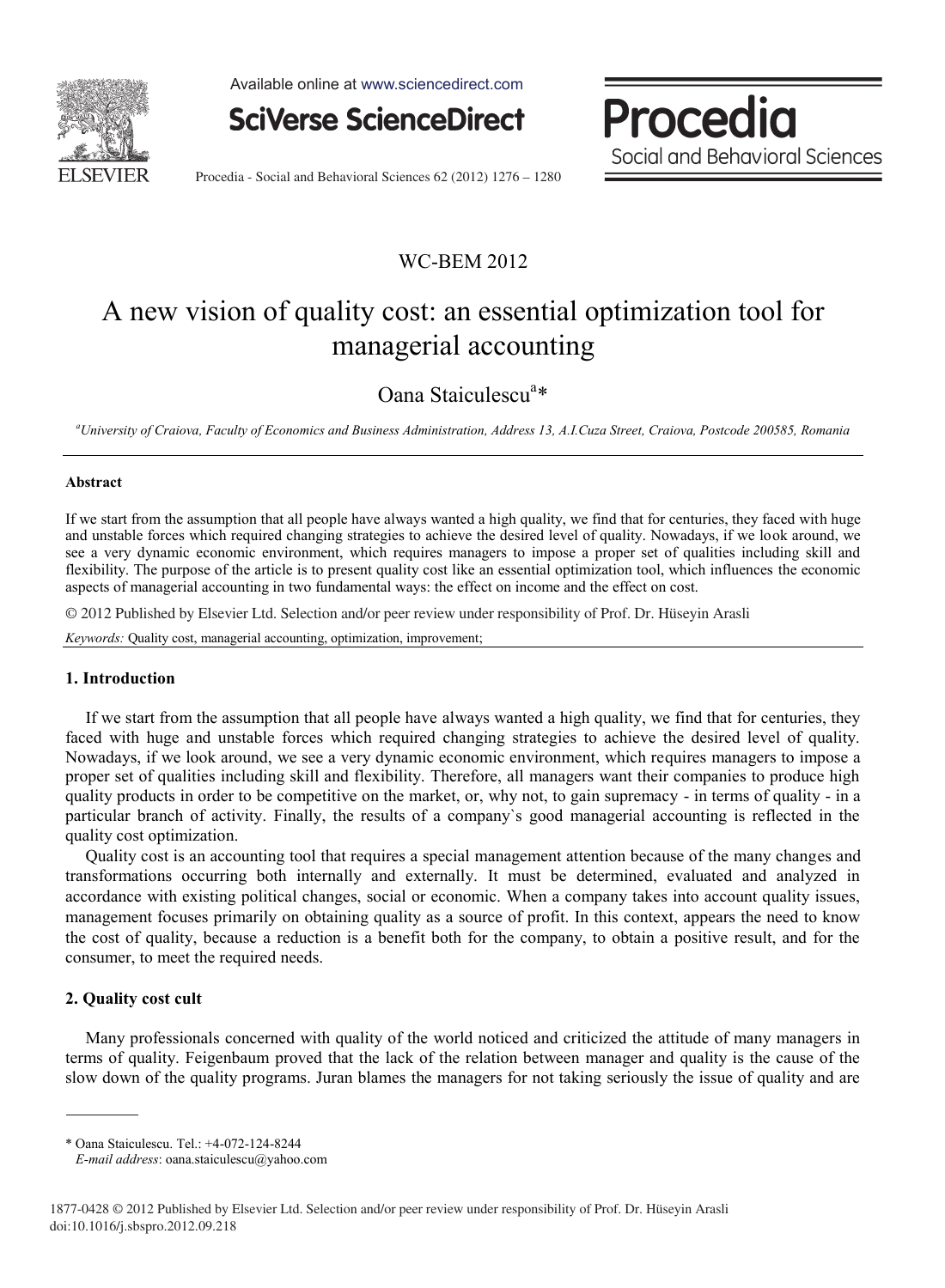

Available online at www.sciencedirect.com



Procedia Social and Behavioral Sciences

Procedia - Social and Behavioral Sciences 62 (2012) 1276 - 1280

### WC-BEM 2012

# A new vision of quality cost: an essential optimization tool for managerial accounting

## Oana Staiculescu<sup>a\*</sup>

*a University of Craiova, Faculty of Economics and Business Administration, Address 13, A.I.Cuza Street, Craiova, Postcode 200585, Romania* 

#### **Abstract**

If we start from the assumption that all people have always wanted a high quality, we find that for centuries, they faced with huge and unstable forces which required changing strategies to achieve the desired level of quality. Nowadays, if we look around, we see a very dynamic economic environment, which requires managers to impose a proper set of qualities including skill and flexibility. The purpose of the article is to present quality cost like an essential optimization tool, which influences the economic aspects of managerial accounting in two fundamental ways: the effect on income and the effect on cost.

© 2012 Published by Elsevier Ltd. Selection and/or peer review under responsibility of Prof. Dr. Huseyin Arasli © 2012 Published by Elsevier Ltd. Selection and/or peer review under responsibility of Prof. Dr. Hüseyin Arasli

*Keywords:* Quality cost, managerial accounting, optimization, improvement;

#### **1. Introduction**

If we start from the assumption that all people have always wanted a high quality, we find that for centuries, they faced with huge and unstable forces which required changing strategies to achieve the desired level of quality. Nowadays, if we look around, we see a very dynamic economic environment, which requires managers to impose a proper set of qualities including skill and flexibility. Therefore, all managers want their companies to produce high quality products in order to be competitive on the market, or, why not, to gain supremacy - in terms of quality - in a particular branch of activity. Finally, the results of a company`s good managerial accounting is reflected in the quality cost optimization.

Quality cost is an accounting tool that requires a special management attention because of the many changes and transformations occurring both internally and externally. It must be determined, evaluated and analyzed in accordance with existing political changes, social or economic. When a company takes into account quality issues, management focuses primarily on obtaining quality as a source of profit. In this context, appears the need to know the cost of quality, because a reduction is a benefit both for the company, to obtain a positive result, and for the consumer, to meet the required needs.

#### **2. Quality cost cult**

Many professionals concerned with quality of the world noticed and criticized the attitude of many managers in terms of quality. Feigenbaum proved that the lack of the relation between manager and quality is the cause of the slow down of the quality programs. Juran blames the managers for not taking seriously the issue of quality and are

\* Oana Staiculescu. Tel.: +4-072-124-8244

*E-mail address*: oana.staiculescu@yahoo.com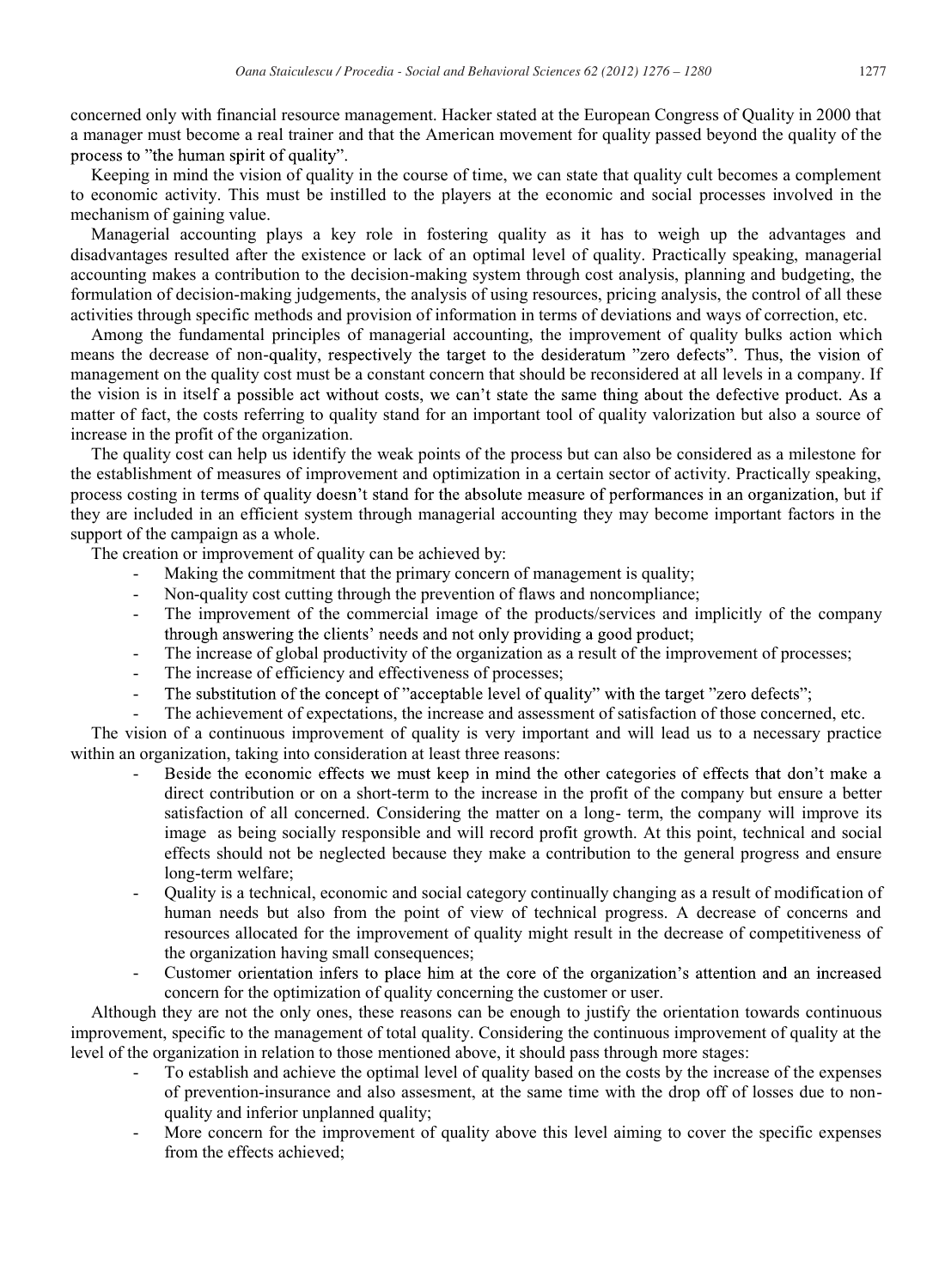concerned only with financial resource management. Hacker stated at the European Congress of Quality in 2000 that a manager must become a real trainer and that the American movement for quality passed beyond the quality of the process to "the human spirit of quality".

Keeping in mind the vision of quality in the course of time, we can state that quality cult becomes a complement to economic activity. This must be instilled to the players at the economic and social processes involved in the mechanism of gaining value.

Managerial accounting plays a key role in fostering quality as it has to weigh up the advantages and disadvantages resulted after the existence or lack of an optimal level of quality. Practically speaking, managerial accounting makes a contribution to the decision-making system through cost analysis, planning and budgeting, the formulation of decision-making judgements, the analysis of using resources, pricing analysis, the control of all these activities through specific methods and provision of information in terms of deviations and ways of correction, etc.

Among the fundamental principles of managerial accounting, the improvement of quality bulks action which means the decrease of non-quality, respectively the target to the desideratum "zero defects". Thus, the vision of management on the quality cost must be a constant concern that should be reconsidered at all levels in a company. If the vision is in itself a possible act without costs, we can't state the same thing about the defective product. As a matter of fact, the costs referring to quality stand for an important tool of quality valorization but also a source of increase in the profit of the organization.

The quality cost can help us identify the weak points of the process but can also be considered as a milestone for the establishment of measures of improvement and optimization in a certain sector of activity. Practically speaking, process costing in terms of quality doesn't stand for the absolute measure of performances in an organization, but if they are included in an efficient system through managerial accounting they may become important factors in the support of the campaign as a whole.

The creation or improvement of quality can be achieved by:

- Making the commitment that the primary concern of management is quality;
- Non-quality cost cutting through the prevention of flaws and noncompliance;
- The improvement of the commercial image of the products/services and implicitly of the company through answering the clients' needs and not only providing a good product;
- The increase of global productivity of the organization as a result of the improvement of processes;
- The increase of efficiency and effectiveness of processes;
- The substitution of the concept of "acceptable level of quality" with the target "zero defects"; -

The achievement of expectations, the increase and assessment of satisfaction of those concerned, etc. The vision of a continuous improvement of quality is very important and will lead us to a necessary practice

within an organization, taking into consideration at least three reasons: - Beside the economic effects we must keep in mind the other categories of effects that don't make a

- direct contribution or on a short-term to the increase in the profit of the company but ensure a better satisfaction of all concerned. Considering the matter on a long- term, the company will improve its image as being socially responsible and will record profit growth. At this point, technical and social effects should not be neglected because they make a contribution to the general progress and ensure long-term welfare;
- Quality is a technical, economic and social category continually changing as a result of modification of human needs but also from the point of view of technical progress. A decrease of concerns and resources allocated for the improvement of quality might result in the decrease of competitiveness of the organization having small consequences;
- Customer orientation infers to place him at the core of the organization's attention and an increased concern for the optimization of quality concerning the customer or user.

Although they are not the only ones, these reasons can be enough to justify the orientation towards continuous improvement, specific to the management of total quality. Considering the continuous improvement of quality at the level of the organization in relation to those mentioned above, it should pass through more stages:

- To establish and achieve the optimal level of quality based on the costs by the increase of the expenses of prevention-insurance and also assesment, at the same time with the drop off of losses due to nonquality and inferior unplanned quality;
- More concern for the improvement of quality above this level aiming to cover the specific expenses from the effects achieved;